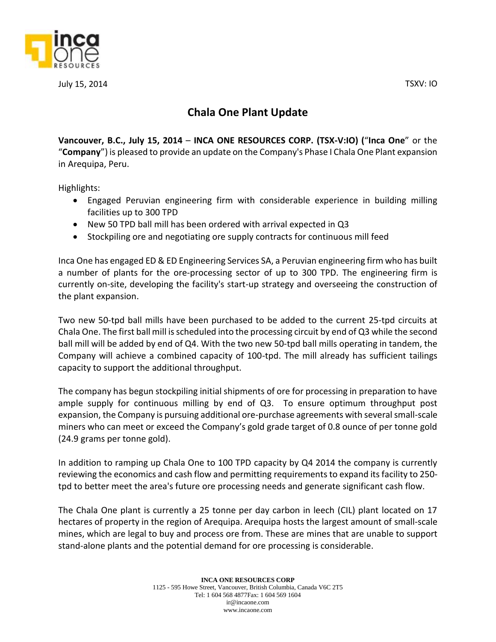

July 15, 2014 TSXV: IO

## **Chala One Plant Update**

**Vancouver, B.C., July 15, 2014** – **INCA ONE RESOURCES CORP. (TSX‐V:IO) (**"**Inca One**" or the "**Company**") is pleased to provide an update on the Company's Phase I Chala One Plant expansion in Arequipa, Peru.

Highlights:

- Engaged Peruvian engineering firm with considerable experience in building milling facilities up to 300 TPD
- New 50 TPD ball mill has been ordered with arrival expected in Q3
- Stockpiling ore and negotiating ore supply contracts for continuous mill feed

Inca One has engaged ED & ED Engineering Services SA, a Peruvian engineering firm who has built a number of plants for the ore-processing sector of up to 300 TPD. The engineering firm is currently on-site, developing the facility's start-up strategy and overseeing the construction of the plant expansion.

Two new 50-tpd ball mills have been purchased to be added to the current 25-tpd circuits at Chala One. The first ball mill is scheduled into the processing circuit by end of Q3 while the second ball mill will be added by end of Q4. With the two new 50-tpd ball mills operating in tandem, the Company will achieve a combined capacity of 100-tpd. The mill already has sufficient tailings capacity to support the additional throughput.

The company has begun stockpiling initial shipments of ore for processing in preparation to have ample supply for continuous milling by end of Q3. To ensure optimum throughput post expansion, the Company is pursuing additional ore-purchase agreements with several small-scale miners who can meet or exceed the Company's gold grade target of 0.8 ounce of per tonne gold (24.9 grams per tonne gold).

In addition to ramping up Chala One to 100 TPD capacity by Q4 2014 the company is currently reviewing the economics and cash flow and permitting requirements to expand its facility to 250 tpd to better meet the area's future ore processing needs and generate significant cash flow.

The Chala One plant is currently a 25 tonne per day carbon in leech (CIL) plant located on 17 hectares of property in the region of Arequipa. Arequipa hosts the largest amount of small-scale mines, which are legal to buy and process ore from. These are mines that are unable to support stand-alone plants and the potential demand for ore processing is considerable.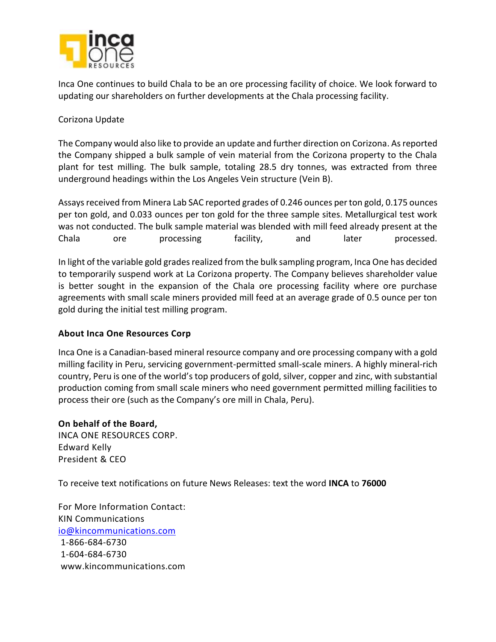

Inca One continues to build Chala to be an ore processing facility of choice. We look forward to updating our shareholders on further developments at the Chala processing facility.

## Corizona Update

The Company would also like to provide an update and further direction on Corizona. As reported the Company shipped a bulk sample of vein material from the Corizona property to the Chala plant for test milling. The bulk sample, totaling 28.5 dry tonnes, was extracted from three underground headings within the Los Angeles Vein structure (Vein B).

Assays received from Minera Lab SAC reported grades of 0.246 ounces per ton gold, 0.175 ounces per ton gold, and 0.033 ounces per ton gold for the three sample sites. Metallurgical test work was not conducted. The bulk sample material was blended with mill feed already present at the Chala ore processing facility, and later processed.

In light of the variable gold grades realized from the bulk sampling program, Inca One has decided to temporarily suspend work at La Corizona property. The Company believes shareholder value is better sought in the expansion of the Chala ore processing facility where ore purchase agreements with small scale miners provided mill feed at an average grade of 0.5 ounce per ton gold during the initial test milling program.

## **About Inca One Resources Corp**

Inca One is a Canadian-based mineral resource company and ore processing company with a gold milling facility in Peru, servicing government-permitted small-scale miners. A highly mineral-rich country, Peru is one of the world's top producers of gold, silver, copper and zinc, with substantial production coming from small scale miners who need government permitted milling facilities to process their ore (such as the Company's ore mill in Chala, Peru).

**On behalf of the Board,**  INCA ONE RESOURCES CORP. Edward Kelly President & CEO

To receive text notifications on future News Releases: text the word **INCA** to **76000**

For More Information Contact: KIN Communications [io@kincommunications.com](mailto:io@kincommunications.com) 1-866-684-6730 1-604-684-6730 www.kincommunications.com